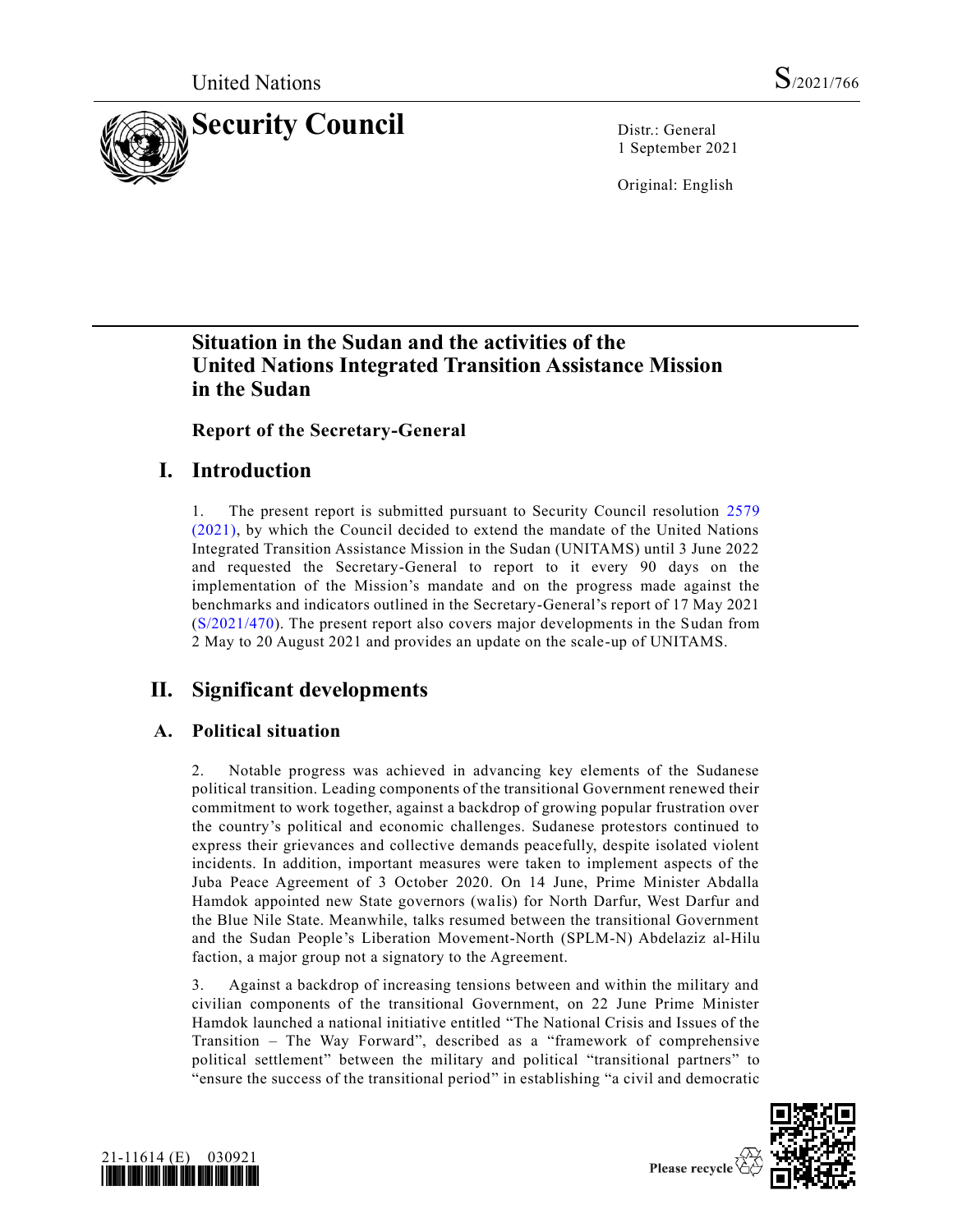

1 September 2021

Original: English

# **Situation in the Sudan and the activities of the United Nations Integrated Transition Assistance Mission in the Sudan**

**Report of the Secretary-General**

# **I. Introduction**

1. The present report is submitted pursuant to Security Council resolution [2579](https://undocs.org/en/S/RES/2579(2021))  [\(2021\),](https://undocs.org/en/S/RES/2579(2021)) by which the Council decided to extend the mandate of the United Nations Integrated Transition Assistance Mission in the Sudan (UNITAMS) until 3 June 2022 and requested the Secretary-General to report to it every 90 days on the implementation of the Mission's mandate and on the progress made against the benchmarks and indicators outlined in the Secretary-General's report of 17 May 2021 [\(S/2021/470\)](https://undocs.org/en/S/2021/470). The present report also covers major developments in the Sudan from 2 May to 20 August 2021 and provides an update on the scale-up of UNITAMS.

# **II. Significant developments**

## **A. Political situation**

2. Notable progress was achieved in advancing key elements of the Sudanese political transition. Leading components of the transitional Government renewed their commitment to work together, against a backdrop of growing popular frustration over the country's political and economic challenges. Sudanese protestors continued to express their grievances and collective demands peacefully, despite isolated violent incidents. In addition, important measures were taken to implement aspects of the Juba Peace Agreement of 3 October 2020. On 14 June, Prime Minister Abdalla Hamdok appointed new State governors (walis) for North Darfur, West Darfur and the Blue Nile State. Meanwhile, talks resumed between the transitional Government and the Sudan People's Liberation Movement-North (SPLM-N) Abdelaziz al-Hilu faction, a major group not a signatory to the Agreement.

3. Against a backdrop of increasing tensions between and within the military and civilian components of the transitional Government, on 22 June Prime Minister Hamdok launched a national initiative entitled "The National Crisis and Issues of the Transition – The Way Forward", described as a "framework of comprehensive political settlement" between the military and political "transitional partners" to "ensure the success of the transitional period" in establishing "a civil and democratic



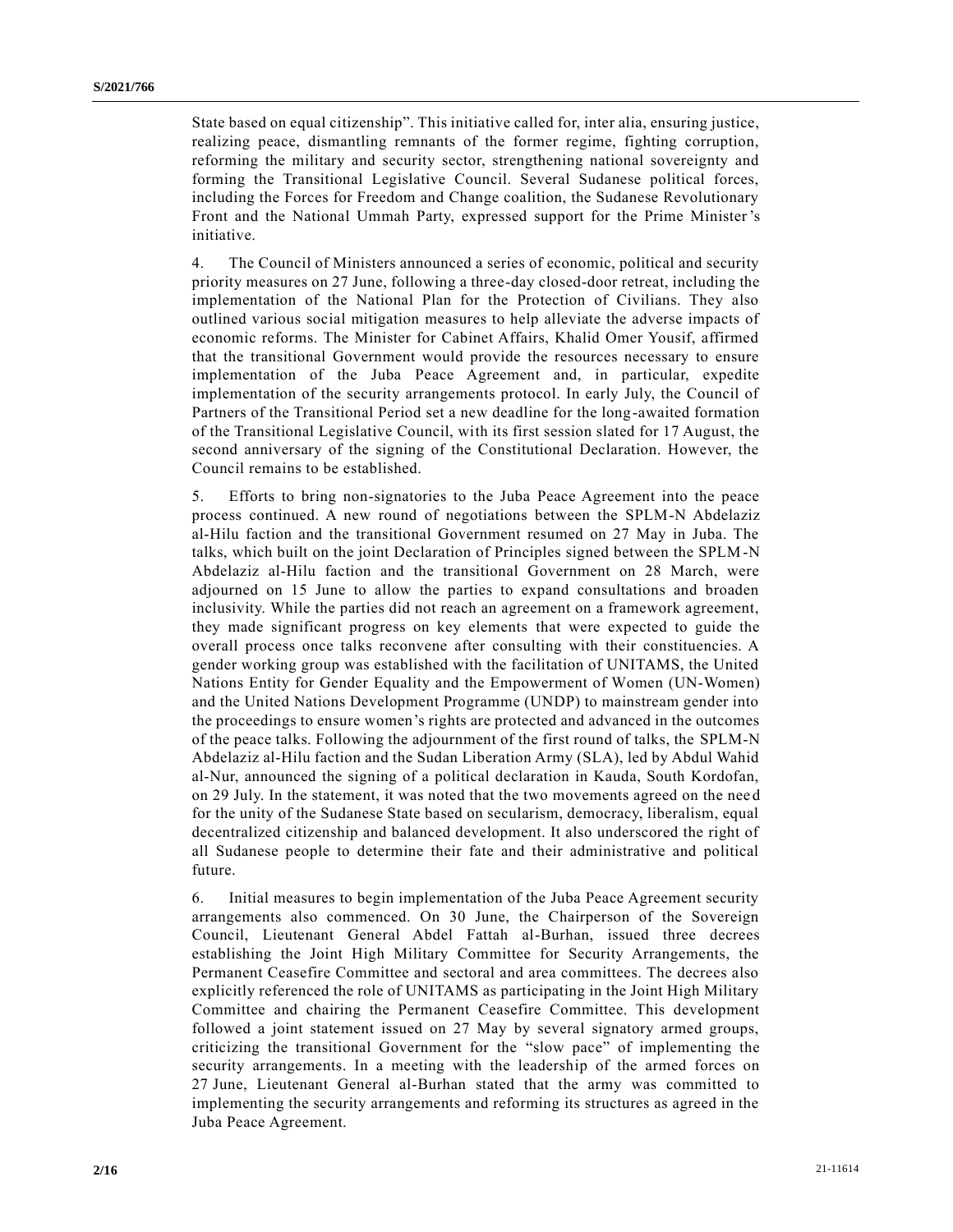State based on equal citizenship". This initiative called for, inter alia, ensuring justice, realizing peace, dismantling remnants of the former regime, fighting corruption, reforming the military and security sector, strengthening national sovereignty and forming the Transitional Legislative Council. Several Sudanese political forces, including the Forces for Freedom and Change coalition, the Sudanese Revolutionary Front and the National Ummah Party, expressed support for the Prime Minister's initiative.

4. The Council of Ministers announced a series of economic, political and security priority measures on 27 June, following a three-day closed-door retreat, including the implementation of the National Plan for the Protection of Civilians. They also outlined various social mitigation measures to help alleviate the adverse impacts of economic reforms. The Minister for Cabinet Affairs, Khalid Omer Yousif, affirmed that the transitional Government would provide the resources necessary to ensure implementation of the Juba Peace Agreement and, in particular, expedite implementation of the security arrangements protocol. In early July, the Council of Partners of the Transitional Period set a new deadline for the long-awaited formation of the Transitional Legislative Council, with its first session slated for 17 August, the second anniversary of the signing of the Constitutional Declaration. However, the Council remains to be established.

5. Efforts to bring non-signatories to the Juba Peace Agreement into the peace process continued. A new round of negotiations between the SPLM-N Abdelaziz al-Hilu faction and the transitional Government resumed on 27 May in Juba. The talks, which built on the joint Declaration of Principles signed between the SPLM-N Abdelaziz al-Hilu faction and the transitional Government on 28 March, were adjourned on 15 June to allow the parties to expand consultations and broaden inclusivity. While the parties did not reach an agreement on a framework agreement, they made significant progress on key elements that were expected to guide the overall process once talks reconvene after consulting with their constituencies. A gender working group was established with the facilitation of UNITAMS, the United Nations Entity for Gender Equality and the Empowerment of Women (UN-Women) and the United Nations Development Programme (UNDP) to mainstream gender into the proceedings to ensure women's rights are protected and advanced in the outcomes of the peace talks. Following the adjournment of the first round of talks, the SPLM-N Abdelaziz al-Hilu faction and the Sudan Liberation Army (SLA), led by Abdul Wahid al-Nur, announced the signing of a political declaration in Kauda, South Kordofan, on 29 July. In the statement, it was noted that the two movements agreed on the nee d for the unity of the Sudanese State based on secularism, democracy, liberalism, equal decentralized citizenship and balanced development. It also underscored the right of all Sudanese people to determine their fate and their administrative and political future.

6. Initial measures to begin implementation of the Juba Peace Agreement security arrangements also commenced. On 30 June, the Chairperson of the Sovereign Council, Lieutenant General Abdel Fattah al-Burhan, issued three decrees establishing the Joint High Military Committee for Security Arrangements, the Permanent Ceasefire Committee and sectoral and area committees. The decrees also explicitly referenced the role of UNITAMS as participating in the Joint High Military Committee and chairing the Permanent Ceasefire Committee. This development followed a joint statement issued on 27 May by several signatory armed groups, criticizing the transitional Government for the "slow pace" of implementing the security arrangements. In a meeting with the leadership of the armed forces on 27 June, Lieutenant General al-Burhan stated that the army was committed to implementing the security arrangements and reforming its structures as agreed in the Juba Peace Agreement.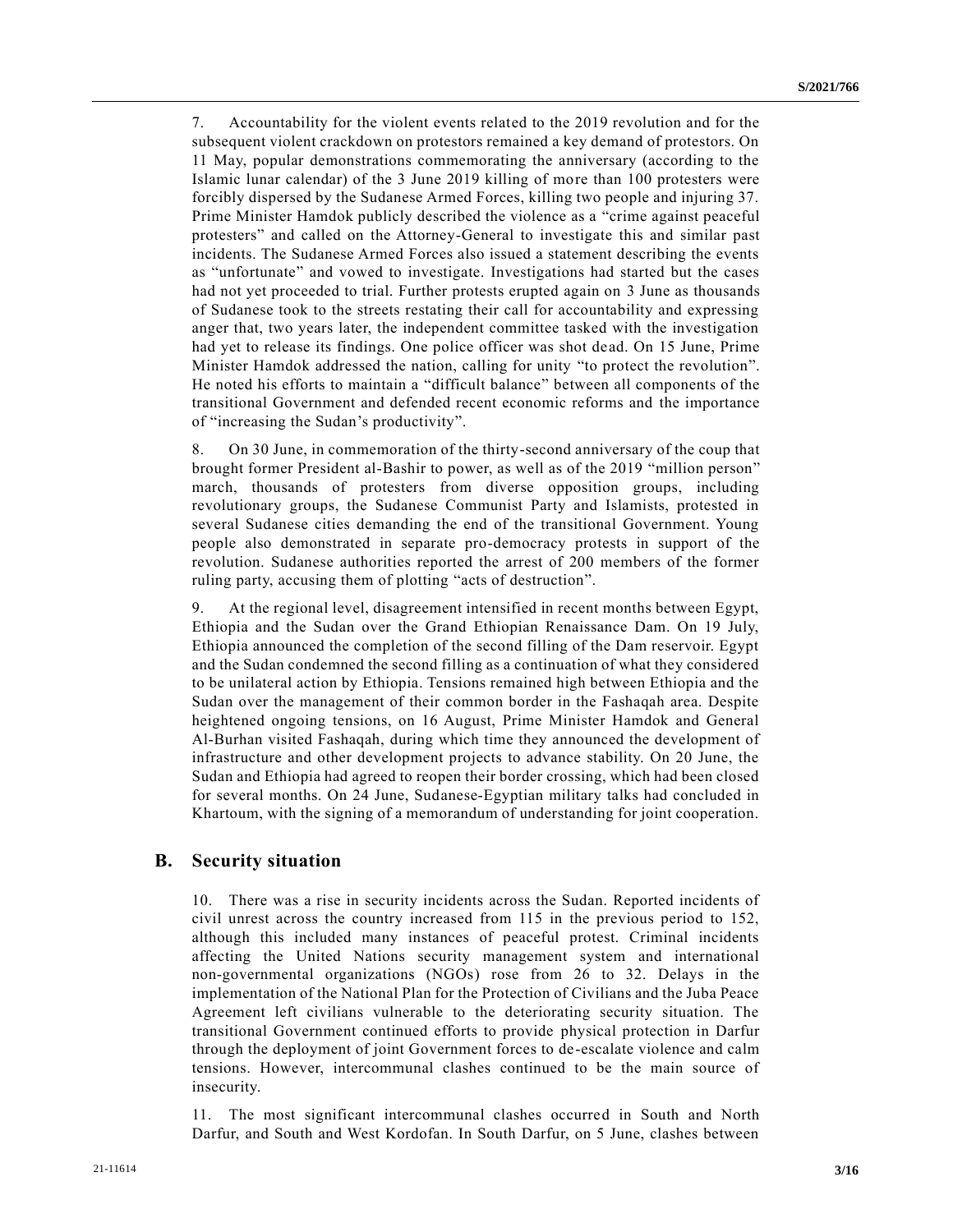7. Accountability for the violent events related to the 2019 revolution and for the subsequent violent crackdown on protestors remained a key demand of protestors. On 11 May, popular demonstrations commemorating the anniversary (according to the Islamic lunar calendar) of the 3 June 2019 killing of more than 100 protesters were forcibly dispersed by the Sudanese Armed Forces, killing two people and injuring 37. Prime Minister Hamdok publicly described the violence as a "crime against peaceful protesters" and called on the Attorney-General to investigate this and similar past incidents. The Sudanese Armed Forces also issued a statement describing the events as "unfortunate" and vowed to investigate. Investigations had started but the cases had not yet proceeded to trial. Further protests erupted again on 3 June as thousands of Sudanese took to the streets restating their call for accountability and expressing anger that, two years later, the independent committee tasked with the investigation had yet to release its findings. One police officer was shot dead. On 15 June, Prime Minister Hamdok addressed the nation, calling for unity "to protect the revolution". He noted his efforts to maintain a "difficult balance" between all components of the transitional Government and defended recent economic reforms and the importance of "increasing the Sudan's productivity".

8. On 30 June, in commemoration of the thirty-second anniversary of the coup that brought former President al-Bashir to power, as well as of the 2019 "million person" march, thousands of protesters from diverse opposition groups, including revolutionary groups, the Sudanese Communist Party and Islamists, protested in several Sudanese cities demanding the end of the transitional Government. Young people also demonstrated in separate pro-democracy protests in support of the revolution. Sudanese authorities reported the arrest of 200 members of the former ruling party, accusing them of plotting "acts of destruction".

9. At the regional level, disagreement intensified in recent months between Egypt, Ethiopia and the Sudan over the Grand Ethiopian Renaissance Dam. On 19 July, Ethiopia announced the completion of the second filling of the Dam reservoir. Egypt and the Sudan condemned the second filling as a continuation of what they considered to be unilateral action by Ethiopia. Tensions remained high between Ethiopia and the Sudan over the management of their common border in the Fashaqah area. Despite heightened ongoing tensions, on 16 August, Prime Minister Hamdok and General Al-Burhan visited Fashaqah, during which time they announced the development of infrastructure and other development projects to advance stability. On 20 June, the Sudan and Ethiopia had agreed to reopen their border crossing, which had been closed for several months. On 24 June, Sudanese-Egyptian military talks had concluded in Khartoum, with the signing of a memorandum of understanding for joint cooperation.

#### **B. Security situation**

10. There was a rise in security incidents across the Sudan. Reported incidents of civil unrest across the country increased from 115 in the previous period to 152, although this included many instances of peaceful protest. Criminal incidents affecting the United Nations security management system and international non-governmental organizations (NGOs) rose from 26 to 32. Delays in the implementation of the National Plan for the Protection of Civilians and the Juba Peace Agreement left civilians vulnerable to the deteriorating security situation. The transitional Government continued efforts to provide physical protection in Darfur through the deployment of joint Government forces to de-escalate violence and calm tensions. However, intercommunal clashes continued to be the main source of insecurity.

11. The most significant intercommunal clashes occurred in South and North Darfur, and South and West Kordofan. In South Darfur, on 5 June, clashes between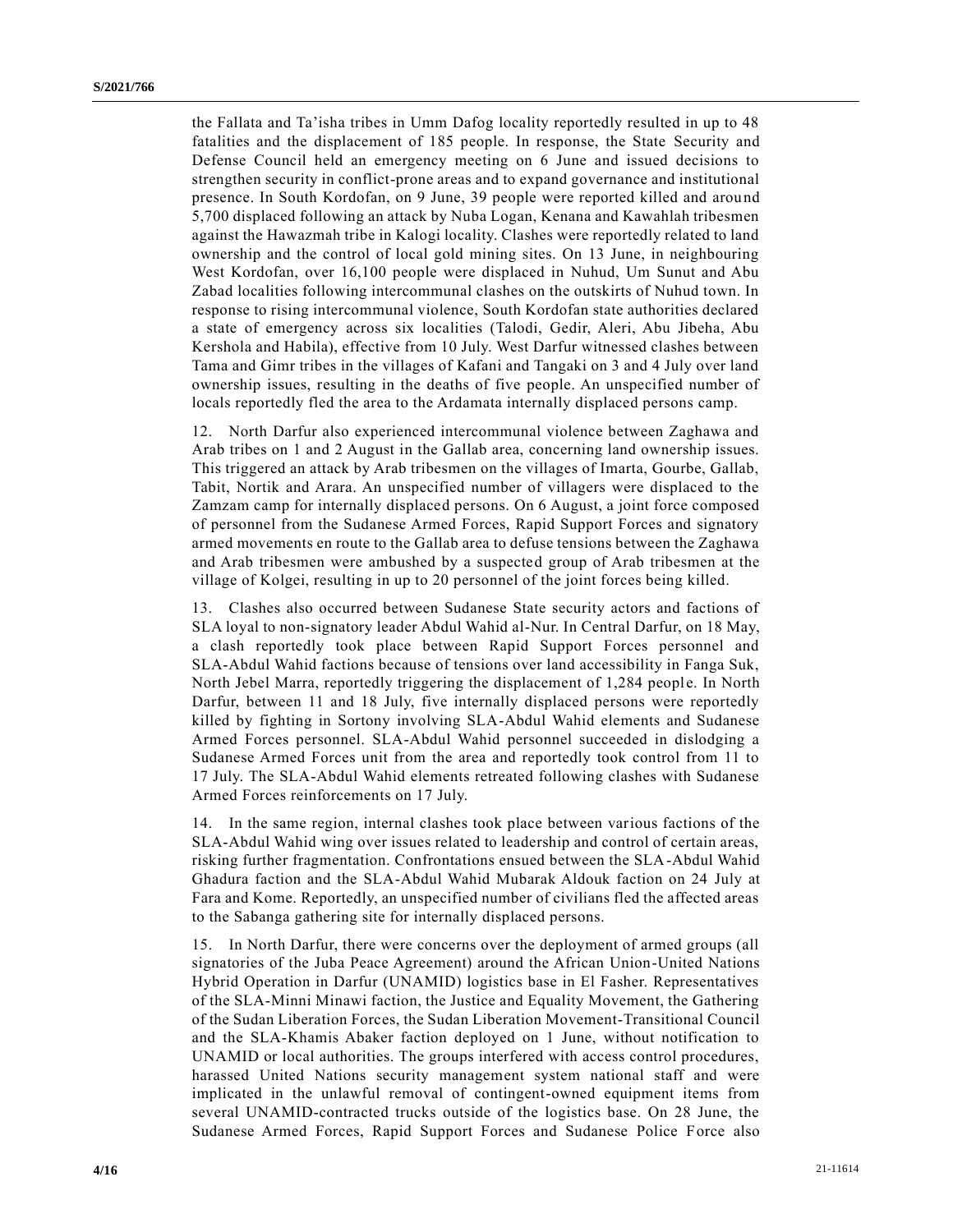the Fallata and Ta'isha tribes in Umm Dafog locality reportedly resulted in up to 48 fatalities and the displacement of 185 people. In response, the State Security and Defense Council held an emergency meeting on 6 June and issued decisions to strengthen security in conflict-prone areas and to expand governance and institutional presence. In South Kordofan, on 9 June, 39 people were reported killed and arou nd 5,700 displaced following an attack by Nuba Logan, Kenana and Kawahlah tribesmen against the Hawazmah tribe in Kalogi locality. Clashes were reportedly related to land ownership and the control of local gold mining sites. On 13 June, in neighbouring West Kordofan, over 16,100 people were displaced in Nuhud, Um Sunut and Abu Zabad localities following intercommunal clashes on the outskirts of Nuhud town. In response to rising intercommunal violence, South Kordofan state authorities declared a state of emergency across six localities (Talodi, Gedir, Aleri, Abu Jibeha, Abu Kershola and Habila), effective from 10 July. West Darfur witnessed clashes between Tama and Gimr tribes in the villages of Kafani and Tangaki on 3 and 4 July over land ownership issues, resulting in the deaths of five people. An unspecified number of locals reportedly fled the area to the Ardamata internally displaced persons camp.

12. North Darfur also experienced intercommunal violence between Zaghawa and Arab tribes on 1 and 2 August in the Gallab area, concerning land ownership issues. This triggered an attack by Arab tribesmen on the villages of Imarta, Gourbe, Gallab, Tabit, Nortik and Arara. An unspecified number of villagers were displaced to the Zamzam camp for internally displaced persons. On 6 August, a joint force composed of personnel from the Sudanese Armed Forces, Rapid Support Forces and signatory armed movements en route to the Gallab area to defuse tensions between the Zaghawa and Arab tribesmen were ambushed by a suspected group of Arab tribesmen at the village of Kolgei, resulting in up to 20 personnel of the joint forces being killed.

13. Clashes also occurred between Sudanese State security actors and factions of SLA loyal to non-signatory leader Abdul Wahid al-Nur. In Central Darfur, on 18 May, a clash reportedly took place between Rapid Support Forces personnel and SLA-Abdul Wahid factions because of tensions over land accessibility in Fanga Suk, North Jebel Marra, reportedly triggering the displacement of 1,284 people. In North Darfur, between 11 and 18 July, five internally displaced persons were reportedly killed by fighting in Sortony involving SLA-Abdul Wahid elements and Sudanese Armed Forces personnel. SLA-Abdul Wahid personnel succeeded in dislodging a Sudanese Armed Forces unit from the area and reportedly took control from 11 to 17 July. The SLA-Abdul Wahid elements retreated following clashes with Sudanese Armed Forces reinforcements on 17 July.

14. In the same region, internal clashes took place between various factions of the SLA-Abdul Wahid wing over issues related to leadership and control of certain areas, risking further fragmentation. Confrontations ensued between the SLA-Abdul Wahid Ghadura faction and the SLA-Abdul Wahid Mubarak Aldouk faction on 24 July at Fara and Kome. Reportedly, an unspecified number of civilians fled the affected areas to the Sabanga gathering site for internally displaced persons.

15. In North Darfur, there were concerns over the deployment of armed groups (all signatories of the Juba Peace Agreement) around the African Union-United Nations Hybrid Operation in Darfur (UNAMID) logistics base in El Fasher. Representatives of the SLA-Minni Minawi faction, the Justice and Equality Movement, the Gathering of the Sudan Liberation Forces, the Sudan Liberation Movement-Transitional Council and the SLA-Khamis Abaker faction deployed on 1 June, without notification to UNAMID or local authorities. The groups interfered with access control procedures, harassed United Nations security management system national staff and were implicated in the unlawful removal of contingent-owned equipment items from several UNAMID-contracted trucks outside of the logistics base. On 28 June, the Sudanese Armed Forces, Rapid Support Forces and Sudanese Police Force also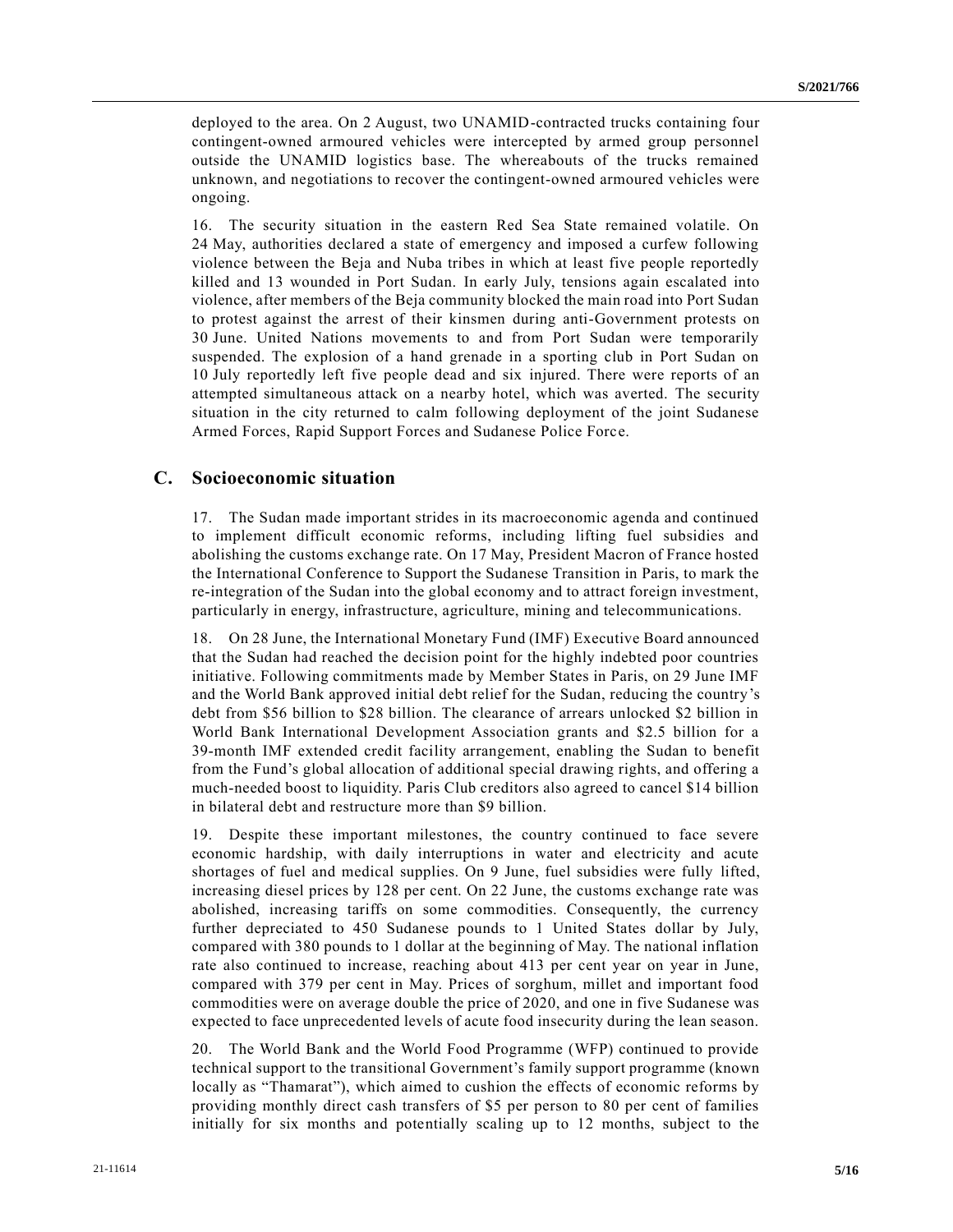deployed to the area. On 2 August, two UNAMID-contracted trucks containing four contingent-owned armoured vehicles were intercepted by armed group personnel outside the UNAMID logistics base. The whereabouts of the trucks remained unknown, and negotiations to recover the contingent-owned armoured vehicles were ongoing.

16. The security situation in the eastern Red Sea State remained volatile. On 24 May, authorities declared a state of emergency and imposed a curfew following violence between the Beja and Nuba tribes in which at least five people reportedly killed and 13 wounded in Port Sudan. In early July, tensions again escalated into violence, after members of the Beja community blocked the main road into Port Sudan to protest against the arrest of their kinsmen during anti-Government protests on 30 June. United Nations movements to and from Port Sudan were temporarily suspended. The explosion of a hand grenade in a sporting club in Port Sudan on 10 July reportedly left five people dead and six injured. There were reports of an attempted simultaneous attack on a nearby hotel, which was averted. The security situation in the city returned to calm following deployment of the joint Sudanese Armed Forces, Rapid Support Forces and Sudanese Police Force.

### **C. Socioeconomic situation**

17. The Sudan made important strides in its macroeconomic agenda and continued to implement difficult economic reforms, including lifting fuel subsidies and abolishing the customs exchange rate. On 17 May, President Macron of France hosted the International Conference to Support the Sudanese Transition in Paris, to mark the re-integration of the Sudan into the global economy and to attract foreign investment, particularly in energy, infrastructure, agriculture, mining and telecommunications.

18. On 28 June, the International Monetary Fund (IMF) Executive Board announced that the Sudan had reached the decision point for the highly indebted poor countries initiative. Following commitments made by Member States in Paris, on 29 June IMF and the World Bank approved initial debt relief for the Sudan, reducing the country's debt from \$56 billion to \$28 billion. The clearance of arrears unlocked \$2 billion in World Bank International Development Association grants and \$2.5 billion for a 39-month IMF extended credit facility arrangement, enabling the Sudan to benefit from the Fund's global allocation of additional special drawing rights, and offering a much-needed boost to liquidity. Paris Club creditors also agreed to cancel \$14 billion in bilateral debt and restructure more than \$9 billion.

19. Despite these important milestones, the country continued to face severe economic hardship, with daily interruptions in water and electricity and acute shortages of fuel and medical supplies. On 9 June, fuel subsidies were fully lifted, increasing diesel prices by 128 per cent. On 22 June, the customs exchange rate was abolished, increasing tariffs on some commodities. Consequently, the currency further depreciated to 450 Sudanese pounds to 1 United States dollar by July, compared with 380 pounds to 1 dollar at the beginning of May. The national inflation rate also continued to increase, reaching about 413 per cent year on year in June, compared with 379 per cent in May. Prices of sorghum, millet and important food commodities were on average double the price of 2020, and one in five Sudanese was expected to face unprecedented levels of acute food insecurity during the lean season.

20. The World Bank and the World Food Programme (WFP) continued to provide technical support to the transitional Government's family support programme (known locally as "Thamarat"), which aimed to cushion the effects of economic reforms by providing monthly direct cash transfers of \$5 per person to 80 per cent of families initially for six months and potentially scaling up to 12 months, subject to the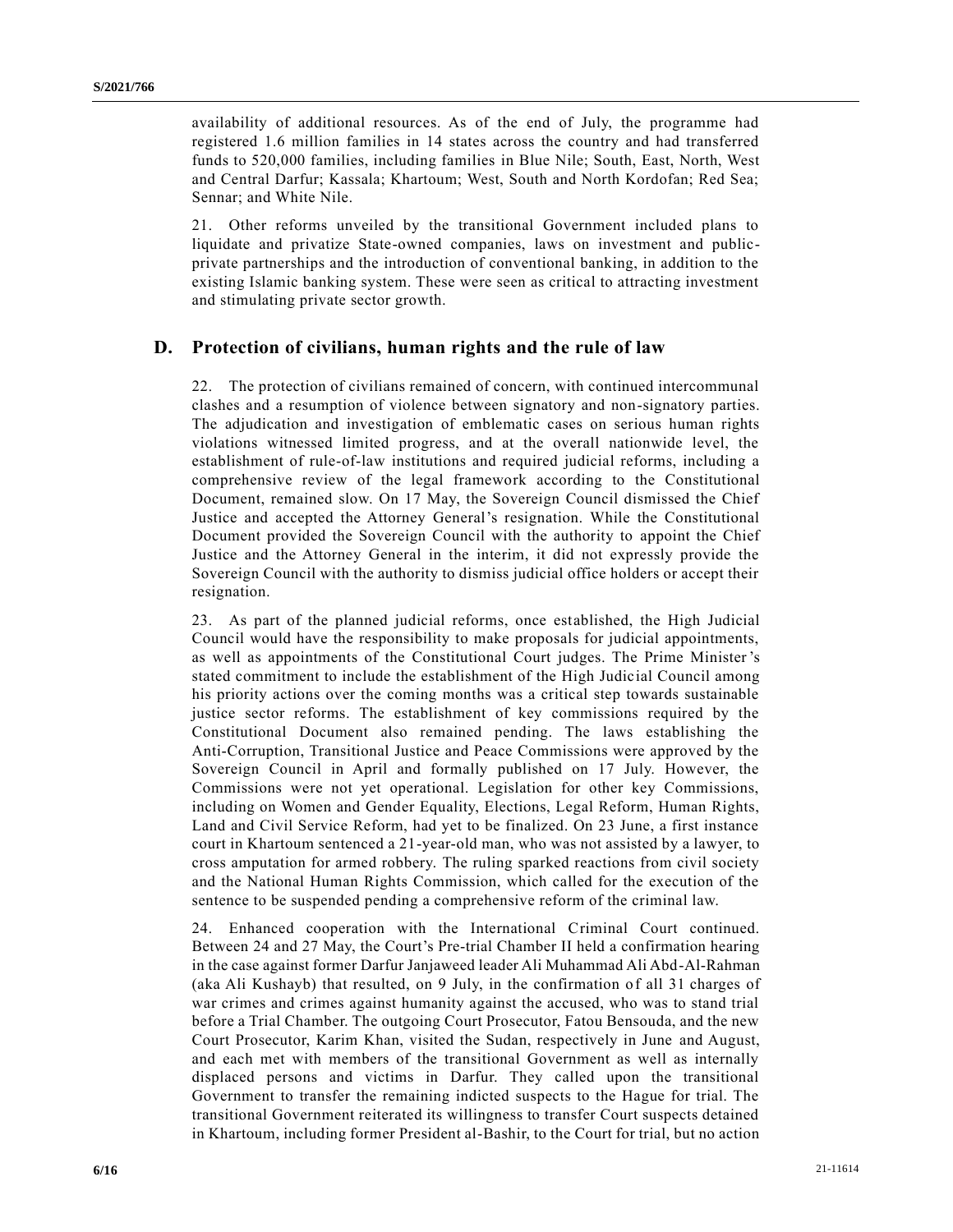availability of additional resources. As of the end of July, the programme had registered 1.6 million families in 14 states across the country and had transferred funds to 520,000 families, including families in Blue Nile; South, East, North, West and Central Darfur; Kassala; Khartoum; West, South and North Kordofan; Red Sea; Sennar; and White Nile.

21. Other reforms unveiled by the transitional Government included plans to liquidate and privatize State-owned companies, laws on investment and publicprivate partnerships and the introduction of conventional banking, in addition to the existing Islamic banking system. These were seen as critical to attracting investment and stimulating private sector growth.

### **D. Protection of civilians, human rights and the rule of law**

22. The protection of civilians remained of concern, with continued intercommunal clashes and a resumption of violence between signatory and non-signatory parties. The adjudication and investigation of emblematic cases on serious human rights violations witnessed limited progress, and at the overall nationwide level, the establishment of rule-of-law institutions and required judicial reforms, including a comprehensive review of the legal framework according to the Constitutional Document, remained slow. On 17 May, the Sovereign Council dismissed the Chief Justice and accepted the Attorney General's resignation. While the Constitutional Document provided the Sovereign Council with the authority to appoint the Chief Justice and the Attorney General in the interim, it did not expressly provide the Sovereign Council with the authority to dismiss judicial office holders or accept their resignation.

23. As part of the planned judicial reforms, once established, the High Judicial Council would have the responsibility to make proposals for judicial appointments, as well as appointments of the Constitutional Court judges. The Prime Minister's stated commitment to include the establishment of the High Judicial Council among his priority actions over the coming months was a critical step towards sustainable justice sector reforms. The establishment of key commissions required by the Constitutional Document also remained pending. The laws establishing the Anti-Corruption, Transitional Justice and Peace Commissions were approved by the Sovereign Council in April and formally published on 17 July. However, the Commissions were not yet operational. Legislation for other key Commissions, including on Women and Gender Equality, Elections, Legal Reform, Human Rights, Land and Civil Service Reform, had yet to be finalized. On 23 June, a first instance court in Khartoum sentenced a 21-year-old man, who was not assisted by a lawyer, to cross amputation for armed robbery. The ruling sparked reactions from civil society and the National Human Rights Commission, which called for the execution of the sentence to be suspended pending a comprehensive reform of the criminal law.

24. Enhanced cooperation with the International Criminal Court continued. Between 24 and 27 May, the Court's Pre-trial Chamber II held a confirmation hearing in the case against former Darfur Janjaweed leader Ali Muhammad Ali Abd-Al-Rahman (aka Ali Kushayb) that resulted, on 9 July, in the confirmation of all 31 charges of war crimes and crimes against humanity against the accused, who was to stand trial before a Trial Chamber. The outgoing Court Prosecutor, Fatou Bensouda, and the new Court Prosecutor, Karim Khan, visited the Sudan, respectively in June and August, and each met with members of the transitional Government as well as internally displaced persons and victims in Darfur. They called upon the transitional Government to transfer the remaining indicted suspects to the Hague for trial. The transitional Government reiterated its willingness to transfer Court suspects detained in Khartoum, including former President al-Bashir, to the Court for trial, but no action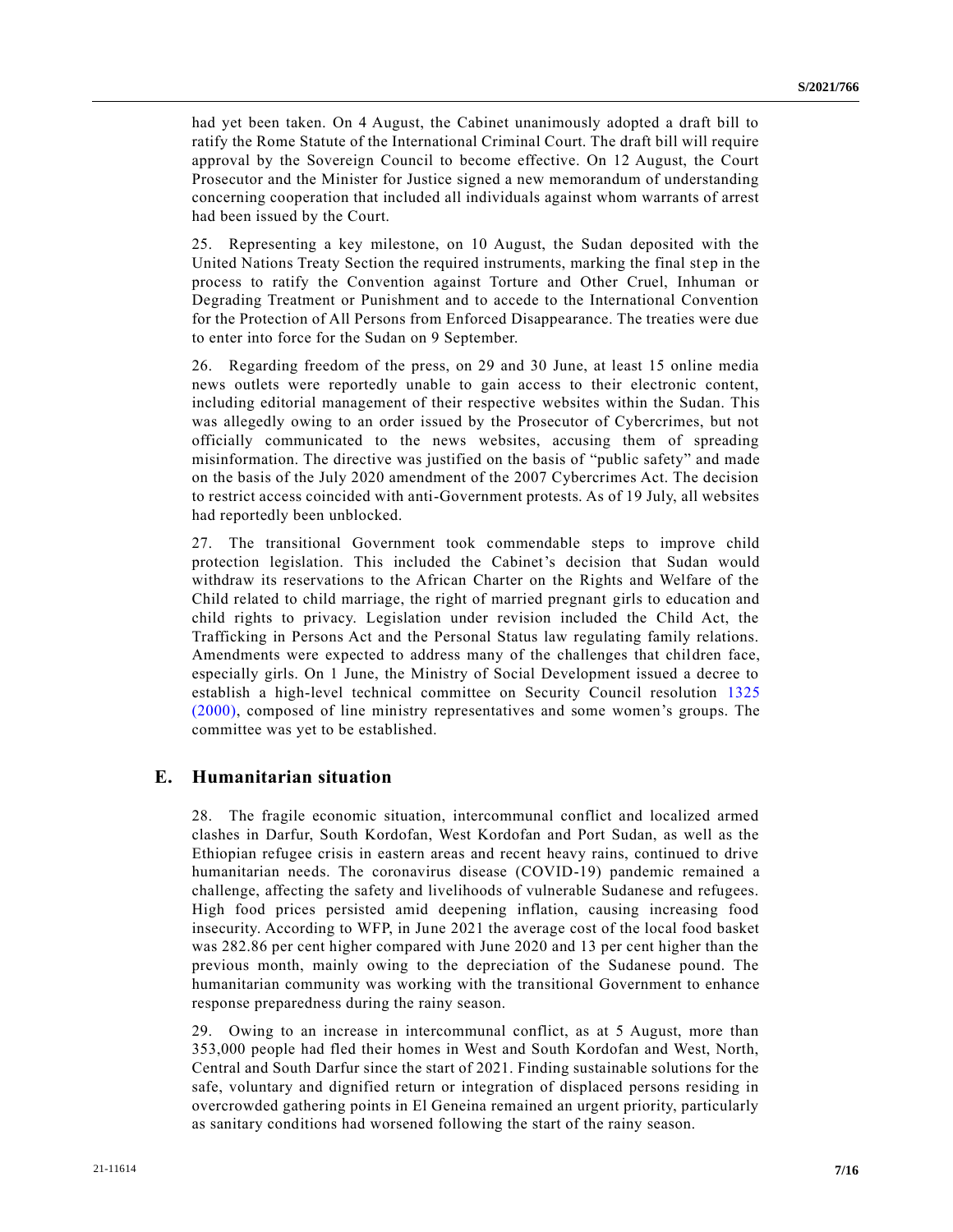had yet been taken. On 4 August, the Cabinet unanimously adopted a draft bill to ratify the Rome Statute of the International Criminal Court. The draft bill will require approval by the Sovereign Council to become effective. On 12 August, the Court Prosecutor and the Minister for Justice signed a new memorandum of understanding concerning cooperation that included all individuals against whom warrants of arrest had been issued by the Court.

25. Representing a key milestone, on 10 August, the Sudan deposited with the United Nations Treaty Section the required instruments, marking the final step in the process to ratify the Convention against Torture and Other Cruel, Inhuman or Degrading Treatment or Punishment and to accede to the International Convention for the Protection of All Persons from Enforced Disappearance. The treaties were due to enter into force for the Sudan on 9 September.

26. Regarding freedom of the press, on 29 and 30 June, at least 15 online media news outlets were reportedly unable to gain access to their electronic content, including editorial management of their respective websites within the Sudan. This was allegedly owing to an order issued by the Prosecutor of Cybercrimes, but not officially communicated to the news websites, accusing them of spreading misinformation. The directive was justified on the basis of "public safety" and made on the basis of the July 2020 amendment of the 2007 Cybercrimes Act. The decision to restrict access coincided with anti-Government protests. As of 19 July, all websites had reportedly been unblocked.

27. The transitional Government took commendable steps to improve child protection legislation. This included the Cabinet's decision that Sudan would withdraw its reservations to the African Charter on the Rights and Welfare of the Child related to child marriage, the right of married pregnant girls to education and child rights to privacy. Legislation under revision included the Child Act, the Trafficking in Persons Act and the Personal Status law regulating family relations. Amendments were expected to address many of the challenges that children face, especially girls. On 1 June, the Ministry of Social Development issued a decree to establish a high-level technical committee on Security Council resolution [1325](https://undocs.org/en/S/RES/1325(2000))  [\(2000\),](https://undocs.org/en/S/RES/1325(2000)) composed of line ministry representatives and some women's groups. The committee was yet to be established.

### **E. Humanitarian situation**

28. The fragile economic situation, intercommunal conflict and localized armed clashes in Darfur, South Kordofan, West Kordofan and Port Sudan, as well as the Ethiopian refugee crisis in eastern areas and recent heavy rains, continued to drive humanitarian needs. The coronavirus disease (COVID-19) pandemic remained a challenge, affecting the safety and livelihoods of vulnerable Sudanese and refugees. High food prices persisted amid deepening inflation, causing increasing food insecurity. According to WFP, in June 2021 the average cost of the local food basket was 282.86 per cent higher compared with June 2020 and 13 per cent higher than the previous month, mainly owing to the depreciation of the Sudanese pound. The humanitarian community was working with the transitional Government to enhance response preparedness during the rainy season.

29. Owing to an increase in intercommunal conflict, as at 5 August, more than 353,000 people had fled their homes in West and South Kordofan and West, North, Central and South Darfur since the start of 2021. Finding sustainable solutions for the safe, voluntary and dignified return or integration of displaced persons residing in overcrowded gathering points in El Geneina remained an urgent priority, particularly as sanitary conditions had worsened following the start of the rainy season.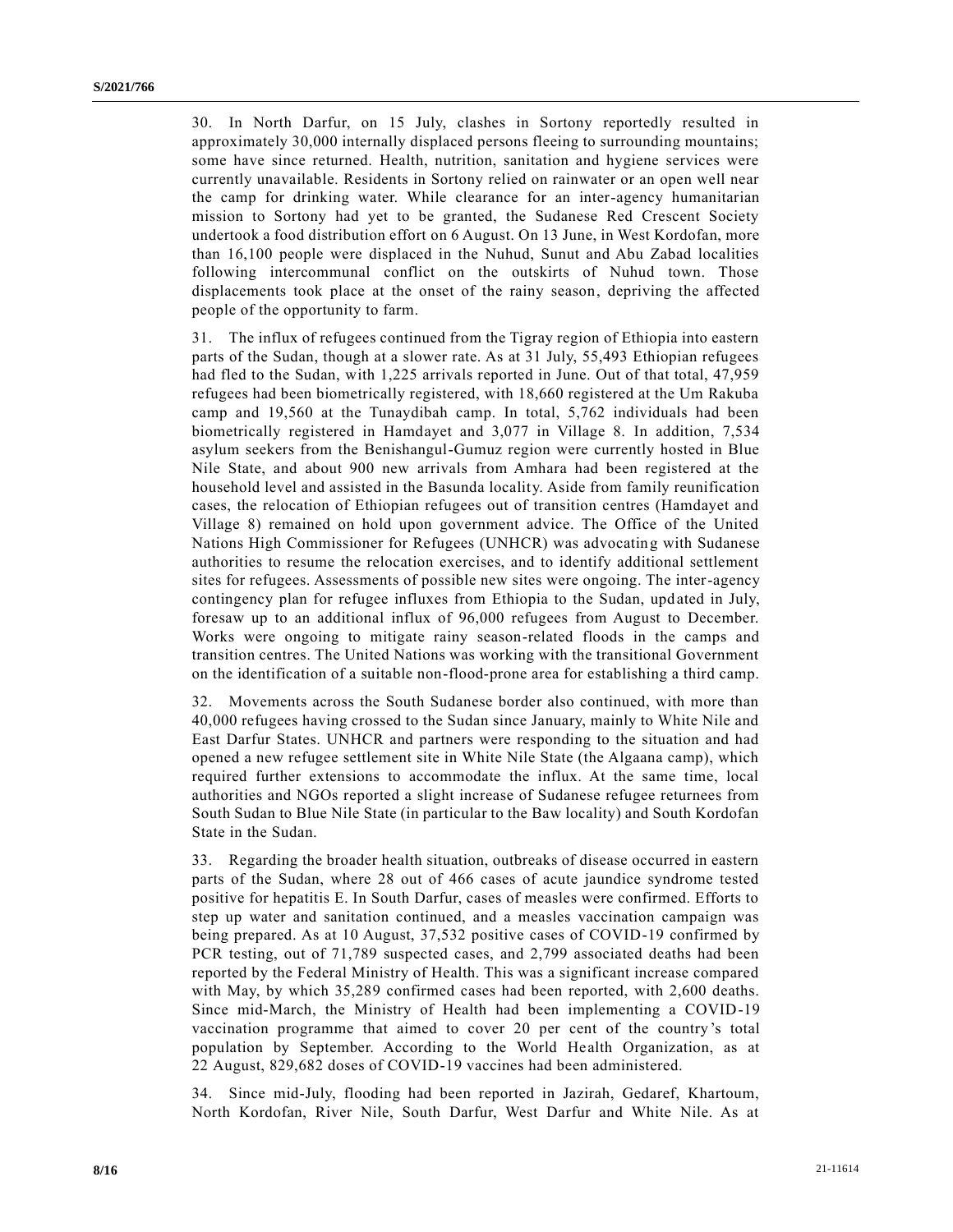30. In North Darfur, on 15 July, clashes in Sortony reportedly resulted in approximately 30,000 internally displaced persons fleeing to surrounding mountains; some have since returned. Health, nutrition, sanitation and hygiene services were currently unavailable. Residents in Sortony relied on rainwater or an open well near the camp for drinking water. While clearance for an inter-agency humanitarian mission to Sortony had yet to be granted, the Sudanese Red Crescent Society undertook a food distribution effort on 6 August. On 13 June, in West Kordofan, more than 16,100 people were displaced in the Nuhud, Sunut and Abu Zabad localities following intercommunal conflict on the outskirts of Nuhud town. Those displacements took place at the onset of the rainy season, depriving the affected people of the opportunity to farm.

31. The influx of refugees continued from the Tigray region of Ethiopia into eastern parts of the Sudan, though at a slower rate. As at 31 July, 55,493 Ethiopian refugees had fled to the Sudan, with 1,225 arrivals reported in June. Out of that total, 47,959 refugees had been biometrically registered, with 18,660 registered at the Um Rakuba camp and 19,560 at the Tunaydibah camp. In total, 5,762 individuals had been biometrically registered in Hamdayet and 3,077 in Village 8. In addition, 7,534 asylum seekers from the Benishangul-Gumuz region were currently hosted in Blue Nile State, and about 900 new arrivals from Amhara had been registered at the household level and assisted in the Basunda locality. Aside from family reunification cases, the relocation of Ethiopian refugees out of transition centres (Hamdayet and Village 8) remained on hold upon government advice. The Office of the United Nations High Commissioner for Refugees (UNHCR) was advocating with Sudanese authorities to resume the relocation exercises, and to identify additional settlement sites for refugees. Assessments of possible new sites were ongoing. The inter-agency contingency plan for refugee influxes from Ethiopia to the Sudan, updated in July, foresaw up to an additional influx of 96,000 refugees from August to December. Works were ongoing to mitigate rainy season-related floods in the camps and transition centres. The United Nations was working with the transitional Government on the identification of a suitable non-flood-prone area for establishing a third camp.

32. Movements across the South Sudanese border also continued, with more than 40,000 refugees having crossed to the Sudan since January, mainly to White Nile and East Darfur States. UNHCR and partners were responding to the situation and had opened a new refugee settlement site in White Nile State (the Algaana camp), which required further extensions to accommodate the influx. At the same time, local authorities and NGOs reported a slight increase of Sudanese refugee returnees from South Sudan to Blue Nile State (in particular to the Baw locality) and South Kordofan State in the Sudan.

33. Regarding the broader health situation, outbreaks of disease occurred in eastern parts of the Sudan, where 28 out of 466 cases of acute jaundice syndrome tested positive for hepatitis E. In South Darfur, cases of measles were confirmed. Efforts to step up water and sanitation continued, and a measles vaccination campaign was being prepared. As at 10 August, 37,532 positive cases of COVID-19 confirmed by PCR testing, out of 71,789 suspected cases, and 2,799 associated deaths had been reported by the Federal Ministry of Health. This was a significant increase compared with May, by which 35,289 confirmed cases had been reported, with 2,600 deaths. Since mid-March, the Ministry of Health had been implementing a COVID-19 vaccination programme that aimed to cover 20 per cent of the country 's total population by September. According to the World Health Organization, as at 22 August, 829,682 doses of COVID-19 vaccines had been administered.

34. Since mid-July, flooding had been reported in Jazirah, Gedaref, Khartoum, North Kordofan, River Nile, South Darfur, West Darfur and White Nile. As at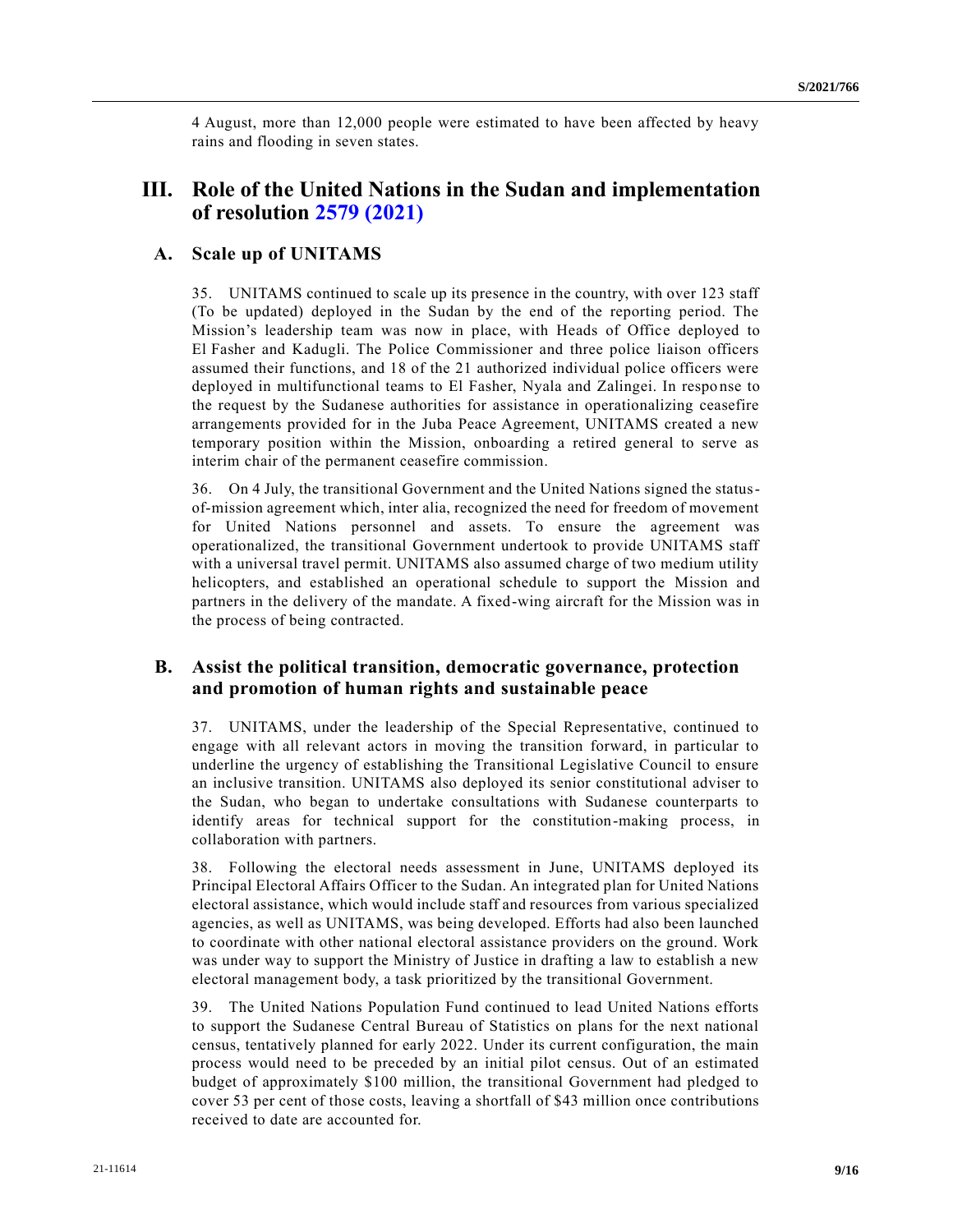4 August, more than 12,000 people were estimated to have been affected by heavy rains and flooding in seven states.

# **III. Role of the United Nations in the Sudan and implementation of resolution [2579 \(2021\)](https://undocs.org/en/S/RES/2579(2021))**

### **A. Scale up of UNITAMS**

35. UNITAMS continued to scale up its presence in the country, with over 123 staff (To be updated) deployed in the Sudan by the end of the reporting period. The Mission's leadership team was now in place, with Heads of Office deployed to El Fasher and Kadugli. The Police Commissioner and three police liaison officers assumed their functions, and 18 of the 21 authorized individual police officers were deployed in multifunctional teams to El Fasher, Nyala and Zalingei. In response to the request by the Sudanese authorities for assistance in operationalizing ceasefire arrangements provided for in the Juba Peace Agreement, UNITAMS created a new temporary position within the Mission, onboarding a retired general to serve as interim chair of the permanent ceasefire commission.

36. On 4 July, the transitional Government and the United Nations signed the statusof-mission agreement which, inter alia, recognized the need for freedom of movement for United Nations personnel and assets. To ensure the agreement was operationalized, the transitional Government undertook to provide UNITAMS staff with a universal travel permit. UNITAMS also assumed charge of two medium utility helicopters, and established an operational schedule to support the Mission and partners in the delivery of the mandate. A fixed-wing aircraft for the Mission was in the process of being contracted.

### **B. Assist the political transition, democratic governance, protection and promotion of human rights and sustainable peace**

37. UNITAMS, under the leadership of the Special Representative, continued to engage with all relevant actors in moving the transition forward, in particular to underline the urgency of establishing the Transitional Legislative Council to ensure an inclusive transition. UNITAMS also deployed its senior constitutional adviser to the Sudan, who began to undertake consultations with Sudanese counterparts to identify areas for technical support for the constitution-making process, in collaboration with partners.

38. Following the electoral needs assessment in June, UNITAMS deployed its Principal Electoral Affairs Officer to the Sudan. An integrated plan for United Nations electoral assistance, which would include staff and resources from various specialized agencies, as well as UNITAMS, was being developed. Efforts had also been launched to coordinate with other national electoral assistance providers on the ground. Work was under way to support the Ministry of Justice in drafting a law to establish a new electoral management body, a task prioritized by the transitional Government.

39. The United Nations Population Fund continued to lead United Nations efforts to support the Sudanese Central Bureau of Statistics on plans for the next national census, tentatively planned for early 2022. Under its current configuration, the main process would need to be preceded by an initial pilot census. Out of an estimated budget of approximately \$100 million, the transitional Government had pledged to cover 53 per cent of those costs, leaving a shortfall of \$43 million once contributions received to date are accounted for.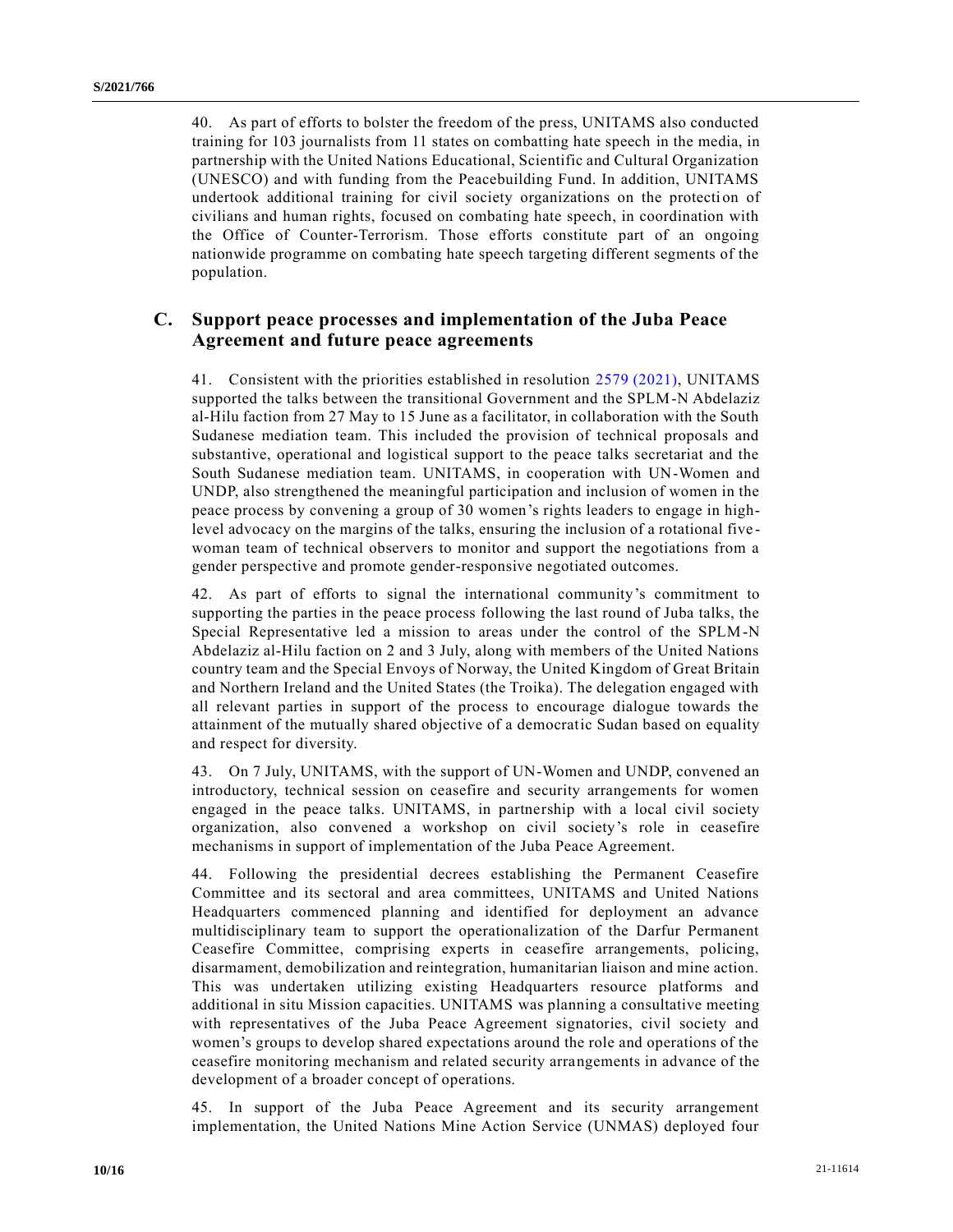40. As part of efforts to bolster the freedom of the press, UNITAMS also conducted training for 103 journalists from 11 states on combatting hate speech in the media, in partnership with the United Nations Educational, Scientific and Cultural Organization (UNESCO) and with funding from the Peacebuilding Fund. In addition, UNITAMS undertook additional training for civil society organizations on the protection of civilians and human rights, focused on combating hate speech, in coordination with the Office of Counter-Terrorism. Those efforts constitute part of an ongoing nationwide programme on combating hate speech targeting different segments of the population.

### **C. Support peace processes and implementation of the Juba Peace Agreement and future peace agreements**

41. Consistent with the priorities established in resolution [2579 \(2021\),](https://undocs.org/en/S/RES/2579(2021)) UNITAMS supported the talks between the transitional Government and the SPLM-N Abdelaziz al-Hilu faction from 27 May to 15 June as a facilitator, in collaboration with the South Sudanese mediation team. This included the provision of technical proposals and substantive, operational and logistical support to the peace talks secretariat and the South Sudanese mediation team. UNITAMS, in cooperation with UN-Women and UNDP, also strengthened the meaningful participation and inclusion of women in the peace process by convening a group of 30 women's rights leaders to engage in highlevel advocacy on the margins of the talks, ensuring the inclusion of a rotational five woman team of technical observers to monitor and support the negotiations from a gender perspective and promote gender-responsive negotiated outcomes.

42. As part of efforts to signal the international community's commitment to supporting the parties in the peace process following the last round of Juba talks, the Special Representative led a mission to areas under the control of the SPLM-N Abdelaziz al-Hilu faction on 2 and 3 July, along with members of the United Nations country team and the Special Envoys of Norway, the United Kingdom of Great Britain and Northern Ireland and the United States (the Troika). The delegation engaged with all relevant parties in support of the process to encourage dialogue towards the attainment of the mutually shared objective of a democratic Sudan based on equality and respect for diversity.

43. On 7 July, UNITAMS, with the support of UN-Women and UNDP, convened an introductory, technical session on ceasefire and security arrangements for women engaged in the peace talks. UNITAMS, in partnership with a local civil society organization, also convened a workshop on civil society's role in ceasefire mechanisms in support of implementation of the Juba Peace Agreement.

44. Following the presidential decrees establishing the Permanent Ceasefire Committee and its sectoral and area committees, UNITAMS and United Nations Headquarters commenced planning and identified for deployment an advance multidisciplinary team to support the operationalization of the Darfur Permanent Ceasefire Committee, comprising experts in ceasefire arrangements, policing, disarmament, demobilization and reintegration, humanitarian liaison and mine action. This was undertaken utilizing existing Headquarters resource platforms and additional in situ Mission capacities. UNITAMS was planning a consultative meeting with representatives of the Juba Peace Agreement signatories, civil society and women's groups to develop shared expectations around the role and operations of the ceasefire monitoring mechanism and related security arrangements in advance of the development of a broader concept of operations.

45. In support of the Juba Peace Agreement and its security arrangement implementation, the United Nations Mine Action Service (UNMAS) deployed four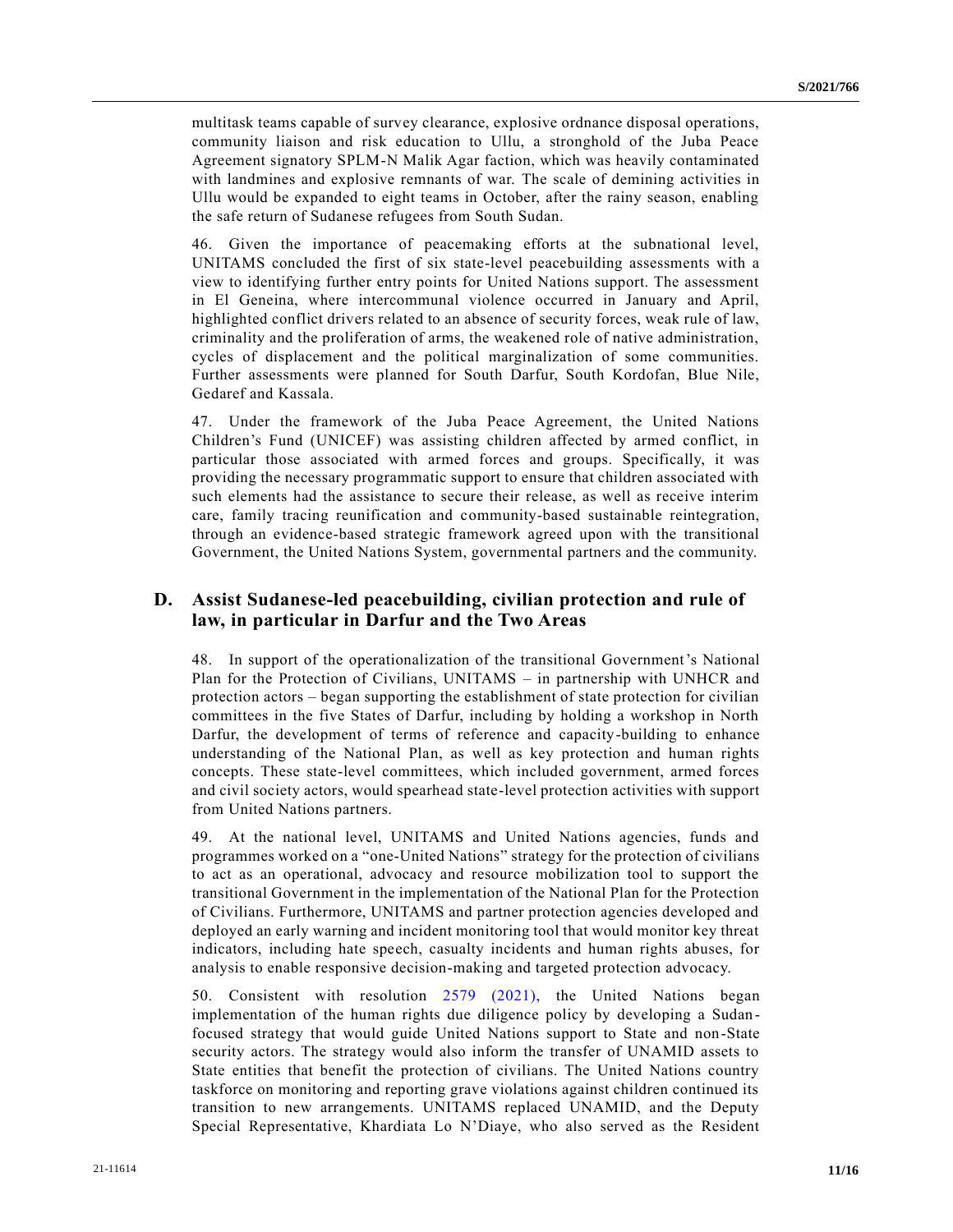multitask teams capable of survey clearance, explosive ordnance disposal operations, community liaison and risk education to Ullu, a stronghold of the Juba Peace Agreement signatory SPLM-N Malik Agar faction, which was heavily contaminated with landmines and explosive remnants of war. The scale of demining activities in Ullu would be expanded to eight teams in October, after the rainy season, enabling the safe return of Sudanese refugees from South Sudan.

46. Given the importance of peacemaking efforts at the subnational level, UNITAMS concluded the first of six state-level peacebuilding assessments with a view to identifying further entry points for United Nations support. The assessment in El Geneina, where intercommunal violence occurred in January and April, highlighted conflict drivers related to an absence of security forces, weak rule of law, criminality and the proliferation of arms, the weakened role of native administration, cycles of displacement and the political marginalization of some communities. Further assessments were planned for South Darfur, South Kordofan, Blue Nile, Gedaref and Kassala.

47. Under the framework of the Juba Peace Agreement, the United Nations Children's Fund (UNICEF) was assisting children affected by armed conflict, in particular those associated with armed forces and groups. Specifically, it was providing the necessary programmatic support to ensure that children associated with such elements had the assistance to secure their release, as well as receive interim care, family tracing reunification and community-based sustainable reintegration, through an evidence-based strategic framework agreed upon with the transitional Government, the United Nations System, governmental partners and the community.

## **D. Assist Sudanese-led peacebuilding, civilian protection and rule of law, in particular in Darfur and the Two Areas**

48. In support of the operationalization of the transitional Government's National Plan for the Protection of Civilians, UNITAMS – in partnership with UNHCR and protection actors – began supporting the establishment of state protection for civilian committees in the five States of Darfur, including by holding a workshop in North Darfur, the development of terms of reference and capacity-building to enhance understanding of the National Plan, as well as key protection and human rights concepts. These state-level committees, which included government, armed forces and civil society actors, would spearhead state-level protection activities with support from United Nations partners.

49. At the national level, UNITAMS and United Nations agencies, funds and programmes worked on a "one-United Nations" strategy for the protection of civilians to act as an operational, advocacy and resource mobilization tool to support the transitional Government in the implementation of the National Plan for the Protection of Civilians. Furthermore, UNITAMS and partner protection agencies developed and deployed an early warning and incident monitoring tool that would monitor key threat indicators, including hate speech, casualty incidents and human rights abuses, for analysis to enable responsive decision-making and targeted protection advocacy.

50. Consistent with resolution [2579 \(2021\),](https://undocs.org/en/S/RES/2579(2021)) the United Nations began implementation of the human rights due diligence policy by developing a Sudan focused strategy that would guide United Nations support to State and non-State security actors. The strategy would also inform the transfer of UNAMID assets to State entities that benefit the protection of civilians. The United Nations country taskforce on monitoring and reporting grave violations against children continued its transition to new arrangements. UNITAMS replaced UNAMID, and the Deputy Special Representative, Khardiata Lo N'Diaye, who also served as the Resident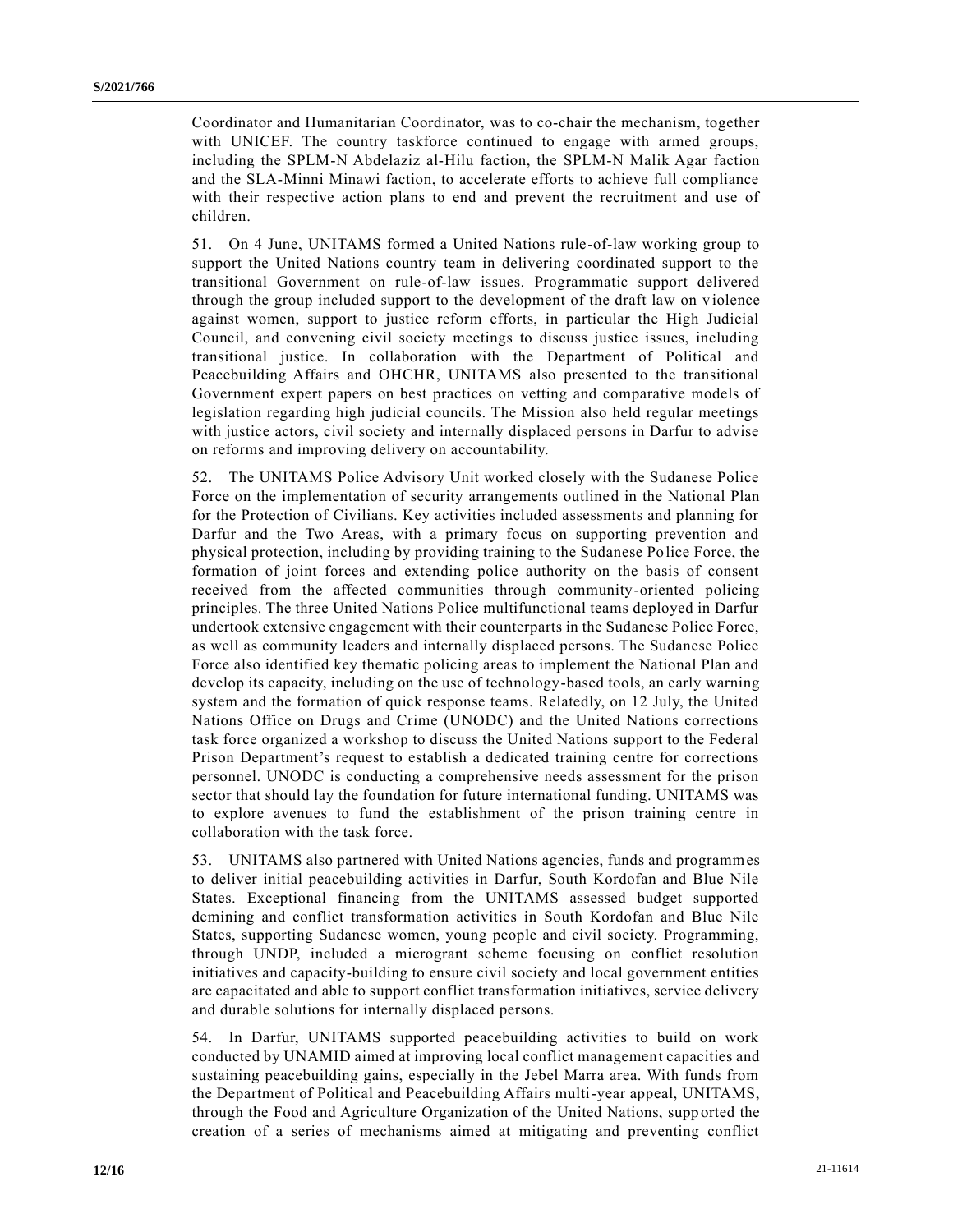Coordinator and Humanitarian Coordinator, was to co-chair the mechanism, together with UNICEF. The country taskforce continued to engage with armed groups, including the SPLM-N Abdelaziz al-Hilu faction, the SPLM-N Malik Agar faction and the SLA-Minni Minawi faction, to accelerate efforts to achieve full compliance with their respective action plans to end and prevent the recruitment and use of children.

51. On 4 June, UNITAMS formed a United Nations rule-of-law working group to support the United Nations country team in delivering coordinated support to the transitional Government on rule-of-law issues. Programmatic support delivered through the group included support to the development of the draft law on v iolence against women, support to justice reform efforts, in particular the High Judicial Council, and convening civil society meetings to discuss justice issues, including transitional justice. In collaboration with the Department of Political and Peacebuilding Affairs and OHCHR, UNITAMS also presented to the transitional Government expert papers on best practices on vetting and comparative models of legislation regarding high judicial councils. The Mission also held regular meetings with justice actors, civil society and internally displaced persons in Darfur to advise on reforms and improving delivery on accountability.

52. The UNITAMS Police Advisory Unit worked closely with the Sudanese Police Force on the implementation of security arrangements outlined in the National Plan for the Protection of Civilians. Key activities included assessments and planning for Darfur and the Two Areas, with a primary focus on supporting prevention and physical protection, including by providing training to the Sudanese Police Force, the formation of joint forces and extending police authority on the basis of consent received from the affected communities through community-oriented policing principles. The three United Nations Police multifunctional teams deployed in Darfur undertook extensive engagement with their counterparts in the Sudanese Police Force, as well as community leaders and internally displaced persons. The Sudanese Police Force also identified key thematic policing areas to implement the National Plan and develop its capacity, including on the use of technology-based tools, an early warning system and the formation of quick response teams. Relatedly, on 12 July, the United Nations Office on Drugs and Crime (UNODC) and the United Nations corrections task force organized a workshop to discuss the United Nations support to the Federal Prison Department's request to establish a dedicated training centre for corrections personnel. UNODC is conducting a comprehensive needs assessment for the prison sector that should lay the foundation for future international funding. UNITAMS was to explore avenues to fund the establishment of the prison training centre in collaboration with the task force.

53. UNITAMS also partnered with United Nations agencies, funds and programmes to deliver initial peacebuilding activities in Darfur, South Kordofan and Blue Nile States. Exceptional financing from the UNITAMS assessed budget supported demining and conflict transformation activities in South Kordofan and Blue Nile States, supporting Sudanese women, young people and civil society. Programming, through UNDP, included a microgrant scheme focusing on conflict resolution initiatives and capacity-building to ensure civil society and local government entities are capacitated and able to support conflict transformation initiatives, service delivery and durable solutions for internally displaced persons.

54. In Darfur, UNITAMS supported peacebuilding activities to build on work conducted by UNAMID aimed at improving local conflict management capacities and sustaining peacebuilding gains, especially in the Jebel Marra area. With funds from the Department of Political and Peacebuilding Affairs multi-year appeal, UNITAMS, through the Food and Agriculture Organization of the United Nations, supp orted the creation of a series of mechanisms aimed at mitigating and preventing conflict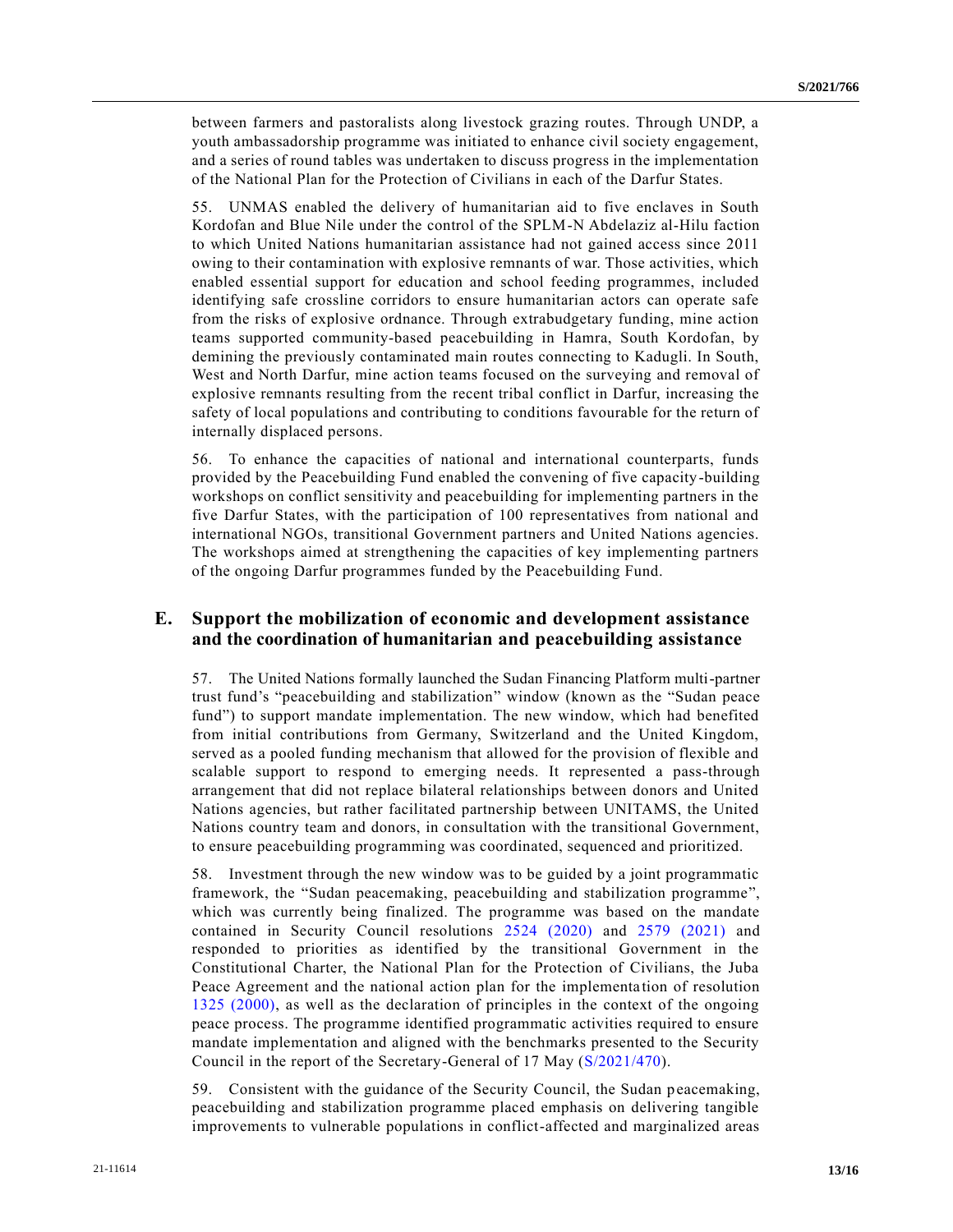between farmers and pastoralists along livestock grazing routes. Through UNDP, a youth ambassadorship programme was initiated to enhance civil society engagement, and a series of round tables was undertaken to discuss progress in the implementation of the National Plan for the Protection of Civilians in each of the Darfur States.

55. UNMAS enabled the delivery of humanitarian aid to five enclaves in South Kordofan and Blue Nile under the control of the SPLM-N Abdelaziz al-Hilu faction to which United Nations humanitarian assistance had not gained access since 2011 owing to their contamination with explosive remnants of war. Those activities, which enabled essential support for education and school feeding programmes, included identifying safe crossline corridors to ensure humanitarian actors can operate safe from the risks of explosive ordnance. Through extrabudgetary funding, mine action teams supported community-based peacebuilding in Hamra, South Kordofan, by demining the previously contaminated main routes connecting to Kadugli. In South, West and North Darfur, mine action teams focused on the surveying and removal of explosive remnants resulting from the recent tribal conflict in Darfur, increasing the safety of local populations and contributing to conditions favourable for the return of internally displaced persons.

56. To enhance the capacities of national and international counterparts, funds provided by the Peacebuilding Fund enabled the convening of five capacity-building workshops on conflict sensitivity and peacebuilding for implementing partners in the five Darfur States, with the participation of 100 representatives from national and international NGOs, transitional Government partners and United Nations agencies. The workshops aimed at strengthening the capacities of key implementing partners of the ongoing Darfur programmes funded by the Peacebuilding Fund.

### **E. Support the mobilization of economic and development assistance and the coordination of humanitarian and peacebuilding assistance**

57. The United Nations formally launched the Sudan Financing Platform multi-partner trust fund's "peacebuilding and stabilization" window (known as the "Sudan peace fund") to support mandate implementation. The new window, which had benefited from initial contributions from Germany, Switzerland and the United Kingdom, served as a pooled funding mechanism that allowed for the provision of flexible and scalable support to respond to emerging needs. It represented a pass-through arrangement that did not replace bilateral relationships between donors and United Nations agencies, but rather facilitated partnership between UNITAMS, the United Nations country team and donors, in consultation with the transitional Government, to ensure peacebuilding programming was coordinated, sequenced and prioritized.

58. Investment through the new window was to be guided by a joint programmatic framework, the "Sudan peacemaking, peacebuilding and stabilization programme", which was currently being finalized. The programme was based on the mandate contained in Security Council resolutions [2524 \(2020\)](https://undocs.org/en/S/RES/2524(2020)) and [2579 \(2021\)](https://undocs.org/en/S/RES/2579(2021)) and responded to priorities as identified by the transitional Government in the Constitutional Charter, the National Plan for the Protection of Civilians, the Juba Peace Agreement and the national action plan for the implementa tion of resolution [1325 \(2000\),](https://undocs.org/en/S/RES/1325(2000)) as well as the declaration of principles in the context of the ongoing peace process. The programme identified programmatic activities required to ensure mandate implementation and aligned with the benchmarks presented to the Security Council in the report of the Secretary-General of 17 May [\(S/2021/470\)](https://undocs.org/en/S/2021/470).

59. Consistent with the guidance of the Security Council, the Sudan peacemaking, peacebuilding and stabilization programme placed emphasis on delivering tangible improvements to vulnerable populations in conflict-affected and marginalized areas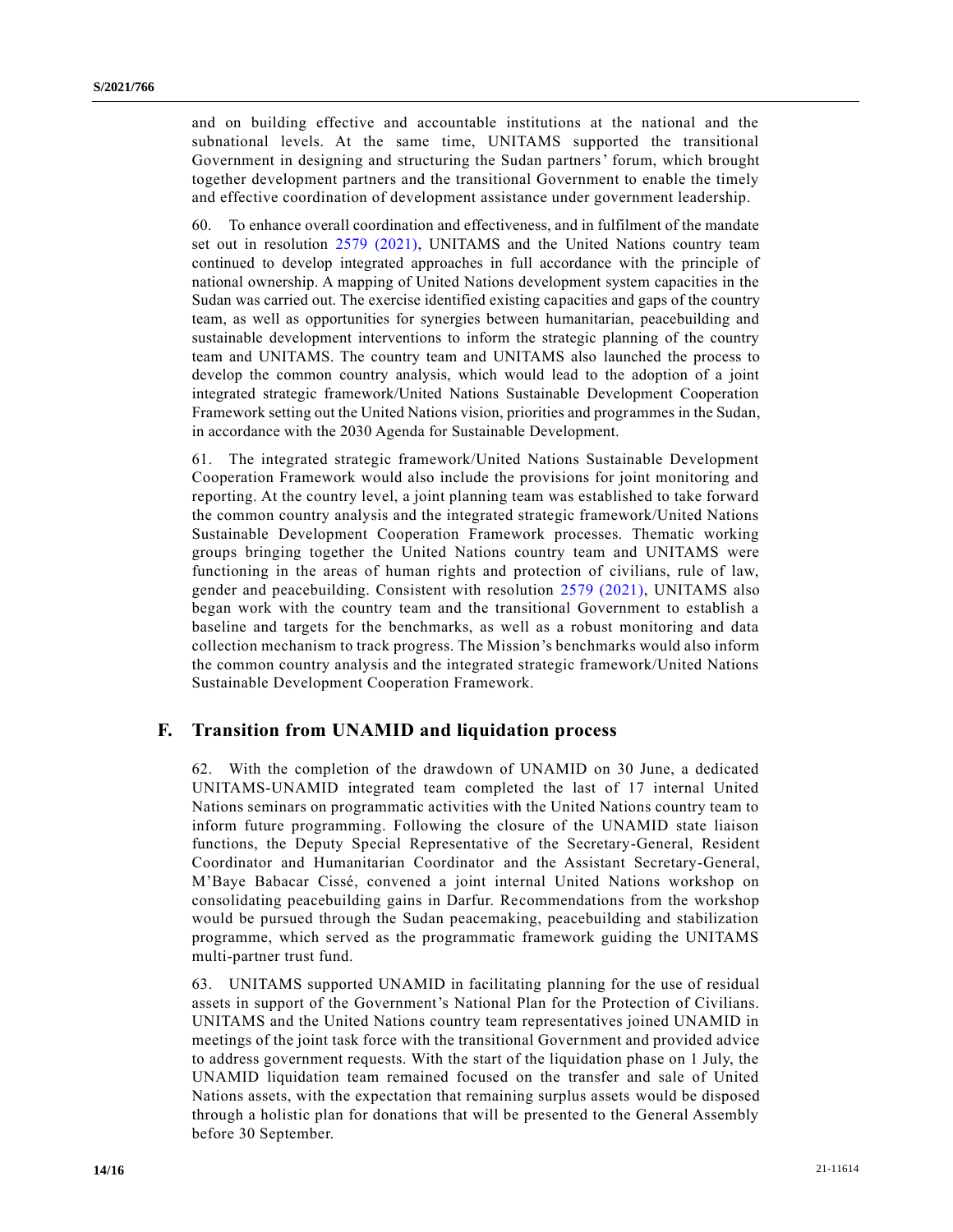and on building effective and accountable institutions at the national and the subnational levels. At the same time, UNITAMS supported the transitional Government in designing and structuring the Sudan partners' forum, which brought together development partners and the transitional Government to enable the timely and effective coordination of development assistance under government leadership.

60. To enhance overall coordination and effectiveness, and in fulfilment of the mandate set out in resolution [2579 \(2021\),](https://undocs.org/en/S/RES/2579(2021)) UNITAMS and the United Nations country team continued to develop integrated approaches in full accordance with the principle of national ownership. A mapping of United Nations development system capacities in the Sudan was carried out. The exercise identified existing capacities and gaps of the country team, as well as opportunities for synergies between humanitarian, peacebuilding and sustainable development interventions to inform the strategic planning of the country team and UNITAMS. The country team and UNITAMS also launched the process to develop the common country analysis, which would lead to the adoption of a joint integrated strategic framework/United Nations Sustainable Development Cooperation Framework setting out the United Nations vision, priorities and programmes in the Sudan, in accordance with the 2030 Agenda for Sustainable Development.

61. The integrated strategic framework/United Nations Sustainable Development Cooperation Framework would also include the provisions for joint monitoring and reporting. At the country level, a joint planning team was established to take forward the common country analysis and the integrated strategic framework/United Nations Sustainable Development Cooperation Framework processes. Thematic working groups bringing together the United Nations country team and UNITAMS were functioning in the areas of human rights and protection of civilians, rule of law, gender and peacebuilding. Consistent with resolution [2579 \(2021\),](https://undocs.org/en/S/RES/2579(2021)) UNITAMS also began work with the country team and the transitional Government to establish a baseline and targets for the benchmarks, as well as a robust monitoring and data collection mechanism to track progress. The Mission's benchmarks would also inform the common country analysis and the integrated strategic framework/United Nations Sustainable Development Cooperation Framework.

### **F. Transition from UNAMID and liquidation process**

62. With the completion of the drawdown of UNAMID on 30 June, a dedicated UNITAMS-UNAMID integrated team completed the last of 17 internal United Nations seminars on programmatic activities with the United Nations country team to inform future programming. Following the closure of the UNAMID state liaison functions, the Deputy Special Representative of the Secretary-General, Resident Coordinator and Humanitarian Coordinator and the Assistant Secretary-General, M'Baye Babacar Cissé, convened a joint internal United Nations workshop on consolidating peacebuilding gains in Darfur. Recommendations from the workshop would be pursued through the Sudan peacemaking, peacebuilding and stabilization programme, which served as the programmatic framework guiding the UNITAMS multi-partner trust fund.

63. UNITAMS supported UNAMID in facilitating planning for the use of residual assets in support of the Government's National Plan for the Protection of Civilians. UNITAMS and the United Nations country team representatives joined UNAMID in meetings of the joint task force with the transitional Government and provided advice to address government requests. With the start of the liquidation phase on 1 July, the UNAMID liquidation team remained focused on the transfer and sale of United Nations assets, with the expectation that remaining surplus assets would be disposed through a holistic plan for donations that will be presented to the General Assembly before 30 September.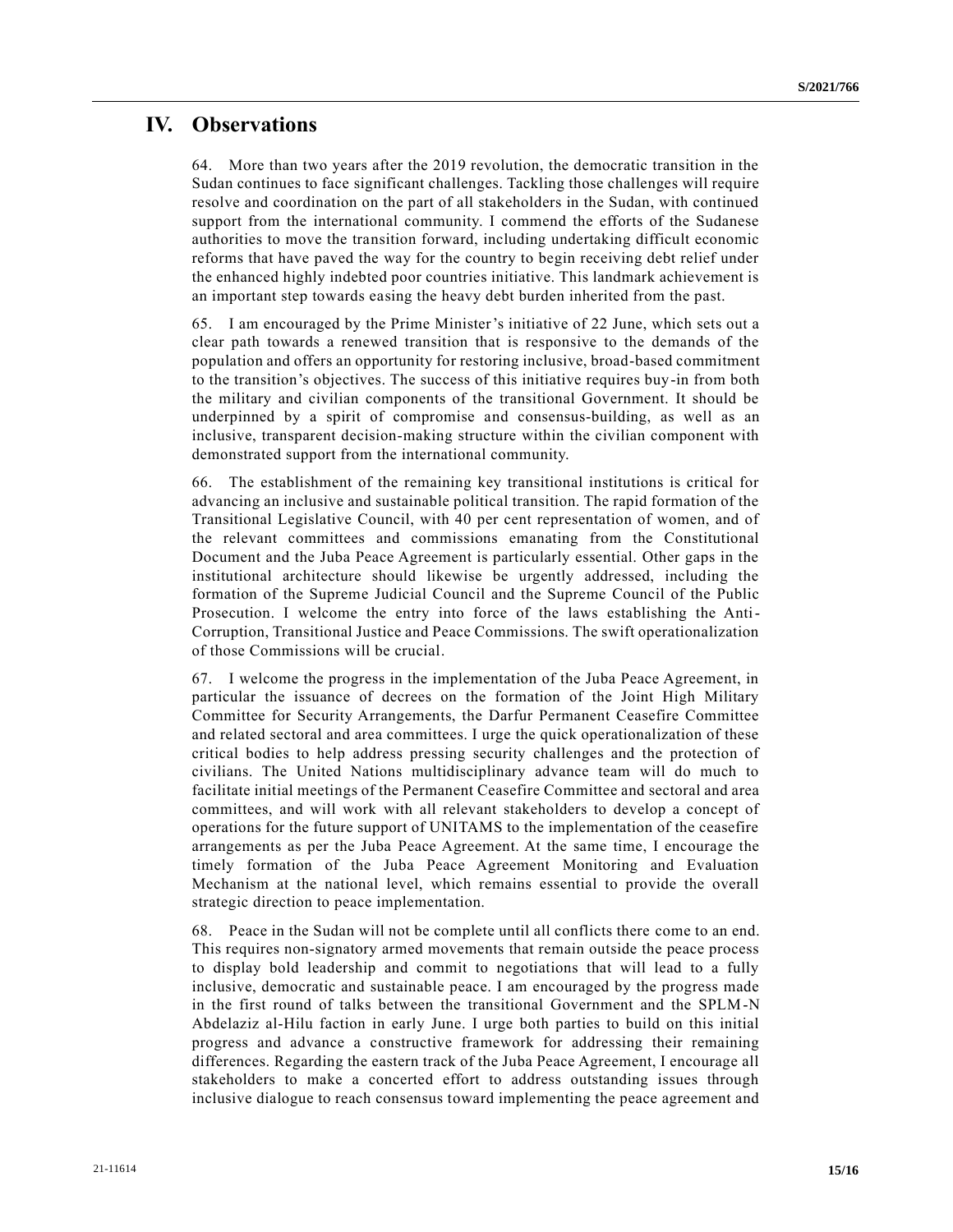# **IV. Observations**

64. More than two years after the 2019 revolution, the democratic transition in the Sudan continues to face significant challenges. Tackling those challenges will require resolve and coordination on the part of all stakeholders in the Sudan, with continued support from the international community. I commend the efforts of the Sudanese authorities to move the transition forward, including undertaking difficult economic reforms that have paved the way for the country to begin receiving debt relief under the enhanced highly indebted poor countries initiative. This landmark achievement is an important step towards easing the heavy debt burden inherited from the past.

65. I am encouraged by the Prime Minister's initiative of 22 June, which sets out a clear path towards a renewed transition that is responsive to the demands of the population and offers an opportunity for restoring inclusive, broad-based commitment to the transition's objectives. The success of this initiative requires buy-in from both the military and civilian components of the transitional Government. It should be underpinned by a spirit of compromise and consensus-building, as well as an inclusive, transparent decision-making structure within the civilian component with demonstrated support from the international community.

66. The establishment of the remaining key transitional institutions is critical for advancing an inclusive and sustainable political transition. The rapid formation of the Transitional Legislative Council, with 40 per cent representation of women, and of the relevant committees and commissions emanating from the Constitutional Document and the Juba Peace Agreement is particularly essential. Other gaps in the institutional architecture should likewise be urgently addressed, including the formation of the Supreme Judicial Council and the Supreme Council of the Public Prosecution. I welcome the entry into force of the laws establishing the Anti-Corruption, Transitional Justice and Peace Commissions. The swift operationalization of those Commissions will be crucial.

67. I welcome the progress in the implementation of the Juba Peace Agreement, in particular the issuance of decrees on the formation of the Joint High Military Committee for Security Arrangements, the Darfur Permanent Ceasefire Committee and related sectoral and area committees. I urge the quick operationalization of these critical bodies to help address pressing security challenges and the protection of civilians. The United Nations multidisciplinary advance team will do much to facilitate initial meetings of the Permanent Ceasefire Committee and sectoral and area committees, and will work with all relevant stakeholders to develop a concept of operations for the future support of UNITAMS to the implementation of the ceasefire arrangements as per the Juba Peace Agreement. At the same time, I encourage the timely formation of the Juba Peace Agreement Monitoring and Evaluation Mechanism at the national level, which remains essential to provide the overall strategic direction to peace implementation.

68. Peace in the Sudan will not be complete until all conflicts there come to an end. This requires non-signatory armed movements that remain outside the peace process to display bold leadership and commit to negotiations that will lead to a fully inclusive, democratic and sustainable peace. I am encouraged by the progress made in the first round of talks between the transitional Government and the SPLM-N Abdelaziz al-Hilu faction in early June. I urge both parties to build on this initial progress and advance a constructive framework for addressing their remaining differences. Regarding the eastern track of the Juba Peace Agreement, I encourage all stakeholders to make a concerted effort to address outstanding issues through inclusive dialogue to reach consensus toward implementing the peace agreement and